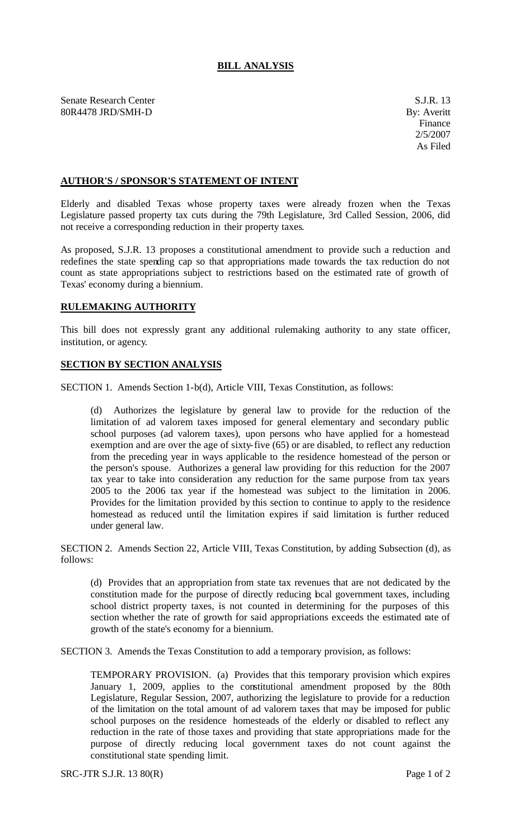Senate Research Center S.J.R. 13 80R4478 JRD/SMH-D By: Averitt

## **AUTHOR'S / SPONSOR'S STATEMENT OF INTENT**

Elderly and disabled Texas whose property taxes were already frozen when the Texas Legislature passed property tax cuts during the 79th Legislature, 3rd Called Session, 2006, did not receive a corresponding reduction in their property taxes.

As proposed, S.J.R. 13 proposes a constitutional amendment to provide such a reduction and redefines the state spending cap so that appropriations made towards the tax reduction do not count as state appropriations subject to restrictions based on the estimated rate of growth of Texas' economy during a biennium.

## **RULEMAKING AUTHORITY**

This bill does not expressly grant any additional rulemaking authority to any state officer, institution, or agency.

## **SECTION BY SECTION ANALYSIS**

SECTION 1. Amends Section 1-b(d), Article VIII, Texas Constitution, as follows:

(d) Authorizes the legislature by general law to provide for the reduction of the limitation of ad valorem taxes imposed for general elementary and secondary public school purposes (ad valorem taxes), upon persons who have applied for a homestead exemption and are over the age of sixty-five (65) or are disabled, to reflect any reduction from the preceding year in ways applicable to the residence homestead of the person or the person's spouse. Authorizes a general law providing for this reduction for the 2007 tax year to take into consideration any reduction for the same purpose from tax years 2005 to the 2006 tax year if the homestead was subject to the limitation in 2006. Provides for the limitation provided by this section to continue to apply to the residence homestead as reduced until the limitation expires if said limitation is further reduced under general law.

SECTION 2. Amends Section 22, Article VIII, Texas Constitution, by adding Subsection (d), as follows:

(d) Provides that an appropriation from state tax revenues that are not dedicated by the constitution made for the purpose of directly reducing bcal government taxes, including school district property taxes, is not counted in determining for the purposes of this section whether the rate of growth for said appropriations exceeds the estimated rate of growth of the state's economy for a biennium.

SECTION 3. Amends the Texas Constitution to add a temporary provision, as follows:

TEMPORARY PROVISION. (a) Provides that this temporary provision which expires January 1, 2009, applies to the constitutional amendment proposed by the 80th Legislature, Regular Session, 2007, authorizing the legislature to provide for a reduction of the limitation on the total amount of ad valorem taxes that may be imposed for public school purposes on the residence homesteads of the elderly or disabled to reflect any reduction in the rate of those taxes and providing that state appropriations made for the purpose of directly reducing local government taxes do not count against the constitutional state spending limit.